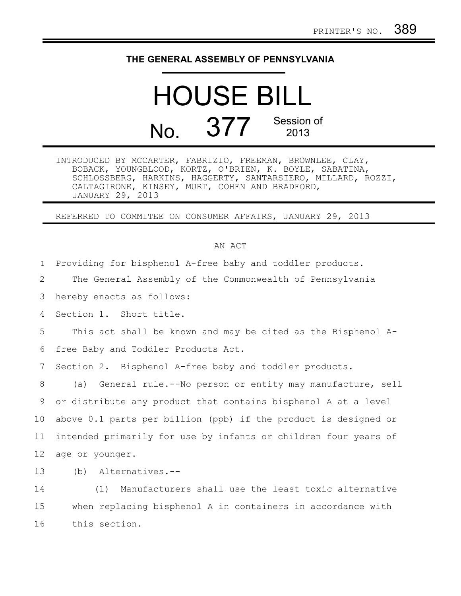## **THE GENERAL ASSEMBLY OF PENNSYLVANIA**

HOUSE BILL  $N_o$   $377$  Session of 2013

INTRODUCED BY MCCARTER, FABRIZIO, FREEMAN, BROWNLEE, CLAY, BOBACK, YOUNGBLOOD, KORTZ, O'BRIEN, K. BOYLE, SABATINA, SCHLOSSBERG, HARKINS, HAGGERTY, SANTARSIERO, MILLARD, ROZZI, CALTAGIRONE, KINSEY, MURT, COHEN AND BRADFORD, JANUARY 29, 2013

REFERRED TO COMMITEE ON CONSUMER AFFAIRS, JANUARY 29, 2013

## AN ACT

Providing for bisphenol A-free baby and toddler products. 1

The General Assembly of the Commonwealth of Pennsylvania 2

hereby enacts as follows: 3

Section 1. Short title. 4

This act shall be known and may be cited as the Bisphenol A-5

free Baby and Toddler Products Act. 6

Section 2. Bisphenol A-free baby and toddler products. 7

(a) General rule.--No person or entity may manufacture, sell or distribute any product that contains bisphenol A at a level above 0.1 parts per billion (ppb) if the product is designed or intended primarily for use by infants or children four years of age or younger. 8 9 10 11 12

(b) Alternatives.-- 13

(1) Manufacturers shall use the least toxic alternative when replacing bisphenol A in containers in accordance with this section. 14 15 16